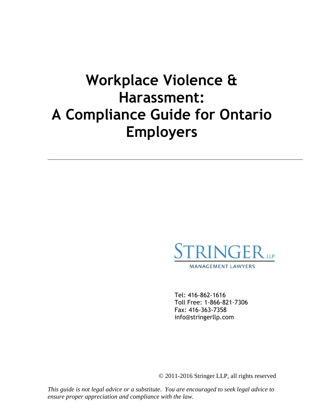# **Workplace Violence & Harassment: A Compliance Guide for Ontario Employers**



Tel: 416-862-1616 Toll Free: 1-866-821-7306 Fax: 416-363-7358 info@stringerllp.com

© 2011-2016 Stringer LLP, all rights reserved

*This guide is not legal advice or a substitute. You are encouraged to seek legal advice to ensure proper appreciation and compliance with the law.*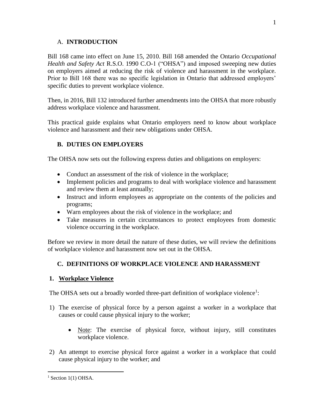#### A. **INTRODUCTION**

Bill 168 came into effect on June 15, 2010. Bill 168 amended the Ontario *Occupational Health and Safety Act* R.S.O. 1990 C.O-1 ("OHSA") and imposed sweeping new duties on employers aimed at reducing the risk of violence and harassment in the workplace. Prior to Bill 168 there was no specific legislation in Ontario that addressed employers' specific duties to prevent workplace violence.

Then, in 2016, Bill 132 introduced further amendments into the OHSA that more robustly address workplace violence and harassment.

This practical guide explains what Ontario employers need to know about workplace violence and harassment and their new obligations under OHSA.

# **B. DUTIES ON EMPLOYERS**

The OHSA now sets out the following express duties and obligations on employers:

- Conduct an assessment of the risk of violence in the workplace;
- Implement policies and programs to deal with workplace violence and harassment and review them at least annually;
- Instruct and inform employees as appropriate on the contents of the policies and programs;
- Warn employees about the risk of violence in the workplace; and
- Take measures in certain circumstances to protect employees from domestic violence occurring in the workplace.

Before we review in more detail the nature of these duties, we will review the definitions of workplace violence and harassment now set out in the OHSA.

## **C. DEFINITIONS OF WORKPLACE VIOLENCE AND HARASSMENT**

## **1. Workplace Violence**

The OHSA sets out a broadly worded three-part definition of workplace violence<sup>1</sup>:

- 1) The exercise of physical force by a person against a worker in a workplace that causes or could cause physical injury to the worker;
	- Note: The exercise of physical force, without injury, still constitutes workplace violence.
- 2) An attempt to exercise physical force against a worker in a workplace that could cause physical injury to the worker; and

 $\overline{a}$  $<sup>1</sup>$  Section 1(1) OHSA.</sup>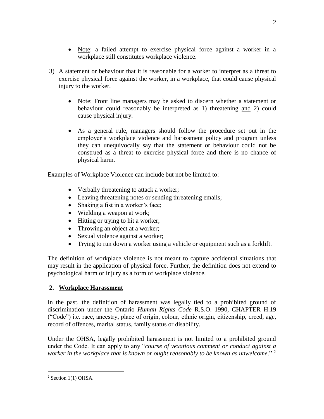- Note: a failed attempt to exercise physical force against a worker in a workplace still constitutes workplace violence.
- 3) A statement or behaviour that it is reasonable for a worker to interpret as a threat to exercise physical force against the worker, in a workplace, that could cause physical injury to the worker.
	- Note: Front line managers may be asked to discern whether a statement or behaviour could reasonably be interpreted as 1) threatening and 2) could cause physical injury.
	- As a general rule, managers should follow the procedure set out in the employer's workplace violence and harassment policy and program unless they can unequivocally say that the statement or behaviour could not be construed as a threat to exercise physical force and there is no chance of physical harm.

Examples of Workplace Violence can include but not be limited to:

- Verbally threatening to attack a worker;
- Leaving threatening notes or sending threatening emails;
- Shaking a fist in a worker's face;
- Wielding a weapon at work;
- Hitting or trying to hit a worker;
- Throwing an object at a worker;
- Sexual violence against a worker;
- Trying to run down a worker using a vehicle or equipment such as a forklift.

The definition of workplace violence is not meant to capture accidental situations that may result in the application of physical force. Further, the definition does not extend to psychological harm or injury as a form of workplace violence.

## **2. Workplace Harassment**

In the past, the definition of harassment was legally tied to a prohibited ground of discrimination under the Ontario *Human Rights Code* R.S.O. 1990, CHAPTER H.19 ("Code") i.e. race, ancestry, place of origin, colour, ethnic origin, citizenship, creed, age, record of offences, marital status, family status or disability.

Under the OHSA, legally prohibited harassment is not limited to a prohibited ground under the Code. It can apply to any "*course of vexatious comment or conduct against a worker in the workplace that is known or ought reasonably to be known as unwelcome*." <sup>2</sup>

 $2$  Section 1(1) OHSA.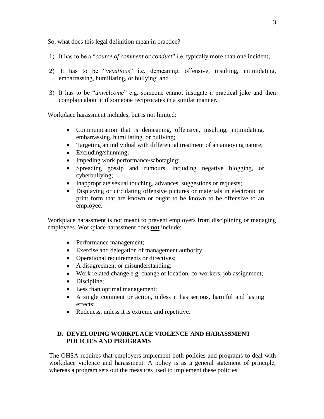So, what does this legal definition mean in practice?

- 1) It has to be a "*course of comment or conduct*" i.e. typically more than one incident;
- 2) It has to be "*vexatious*" i.e. demeaning, offensive, insulting, intimidating, embarrassing, humiliating, or bullying; and
- 3) It has to be "*unwelcome*" e.g. someone cannot instigate a practical joke and then complain about it if someone reciprocates in a similar manner.

Workplace harassment includes, but is not limited:

- Communication that is demeaning, offensive, insulting, intimidating, embarrassing, humiliating, or bullying;
- Targeting an individual with differential treatment of an annoying nature;
- Excluding/shunning;
- Impeding work performance/sabotaging;
- Spreading gossip and rumours, including negative blogging, or cyberbullying;
- Inappropriate sexual touching, advances, suggestions or requests;
- Displaying or circulating offensive pictures or materials in electronic or print form that are known or ought to be known to be offensive to an employee.

Workplace harassment is not meant to prevent employers from disciplining or managing employees. Workplace harassment does **not** include:

- Performance management;
- Exercise and delegation of management authority;
- Operational requirements or directives;
- A disagreement or misunderstanding;
- Work related change e.g. change of location, co-workers, job assignment;
- Discipline;
- Less than optimal management;
- A single comment or action, unless it has serious, harmful and lasting effects;
- Rudeness, unless it is extreme and repetitive.

#### **D. DEVELOPING WORKPLACE VIOLENCE AND HARASSMENT POLICIES AND PROGRAMS**

The OHSA requires that employers implement both policies and programs to deal with workplace violence and harassment. A policy is as a general statement of principle, whereas a program sets out the measures used to implement these policies.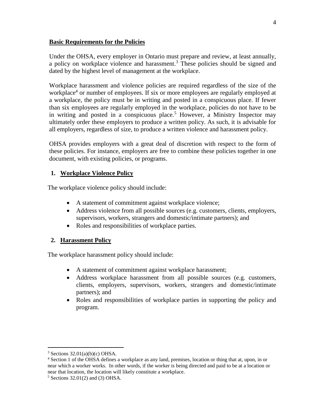#### **Basic Requirements for the Policies**

Under the OHSA, every employer in Ontario must prepare and review, at least annually, a policy on workplace violence and harassment.<sup>3</sup> These policies should be signed and dated by the highest level of management at the workplace.

Workplace harassment and violence policies are required regardless of the size of the workplace<sup>4</sup> or number of employees. If six or more employees are regularly employed at a workplace, the policy must be in writing and posted in a conspicuous place. If fewer than six employees are regularly employed in the workplace, policies do not have to be in writing and posted in a conspicuous place.<sup>5</sup> However, a Ministry Inspector may ultimately order these employers to produce a written policy. As such, it is advisable for all employers, regardless of size, to produce a written violence and harassment policy.

OHSA provides employers with a great deal of discretion with respect to the form of these policies. For instance, employers are free to combine these policies together in one document, with existing policies, or programs.

#### **1. Workplace Violence Policy**

The workplace violence policy should include:

- A statement of commitment against workplace violence;
- Address violence from all possible sources (e.g. customers, clients, employers, supervisors, workers, strangers and domestic/intimate partners); and
- Roles and responsibilities of workplace parties.

## **2. Harassment Policy**

The workplace harassment policy should include:

- A statement of commitment against workplace harassment;
- Address workplace harassment from all possible sources (e.g. customers, clients, employers, supervisors, workers, strangers and domestic/intimate partners); and
- Roles and responsibilities of workplace parties in supporting the policy and program.

 $3$  Sections 32.01(a)(b)(c) OHSA.

<sup>4</sup> Section 1 of the OHSA defines a workplace as any land, premises, location or thing that at, upon, in or near which a worker works. In other words, if the worker is being directed and paid to be at a location or near that location, the location will likely constitute a workplace.

 $5$  Sections 32.01(2) and (3) OHSA.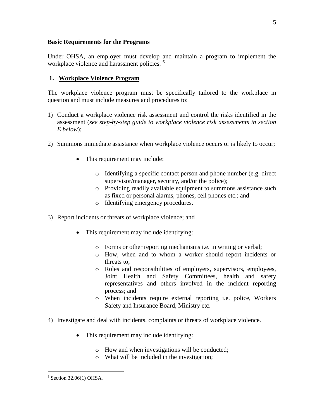#### **Basic Requirements for the Programs**

Under OHSA, an employer must develop and maintain a program to implement the workplace violence and harassment policies.<sup>6</sup>

#### **1. Workplace Violence Program**

The workplace violence program must be specifically tailored to the workplace in question and must include measures and procedures to:

- 1) Conduct a workplace violence risk assessment and control the risks identified in the assessment (*see step-by-step guide to workplace violence risk assessments in section E below*);
- 2) Summons immediate assistance when workplace violence occurs or is likely to occur;
	- This requirement may include:
		- o Identifying a specific contact person and phone number (e.g. direct supervisor/manager, security, and/or the police);
		- o Providing readily available equipment to summons assistance such as fixed or personal alarms, phones, cell phones etc.; and
		- o Identifying emergency procedures.
- 3) Report incidents or threats of workplace violence; and
	- This requirement may include identifying:
		- o Forms or other reporting mechanisms i.e. in writing or verbal;
		- o How, when and to whom a worker should report incidents or threats to;
		- o Roles and responsibilities of employers, supervisors, employees, Joint Health and Safety Committees, health and safety representatives and others involved in the incident reporting process; and
		- o When incidents require external reporting i.e. police, Workers Safety and Insurance Board, Ministry etc.
- 4) Investigate and deal with incidents, complaints or threats of workplace violence.
	- This requirement may include identifying:
		- o How and when investigations will be conducted;
		- o What will be included in the investigation;

5

 $6$  Section 32.06(1) OHSA.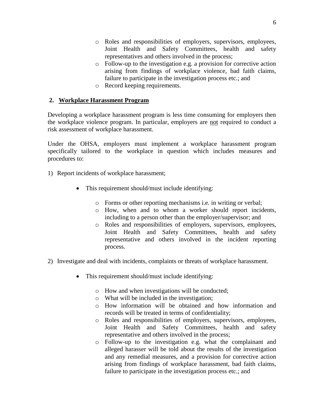- o Roles and responsibilities of employers, supervisors, employees, Joint Health and Safety Committees, health and safety representatives and others involved in the process;
- o Follow-up to the investigation e.g. a provision for corrective action arising from findings of workplace violence, bad faith claims, failure to participate in the investigation process etc.; and
- o Record keeping requirements.

#### **2. Workplace Harassment Program**

Developing a workplace harassment program is less time consuming for employers then the workplace violence program. In particular, employers are not required to conduct a risk assessment of workplace harassment.

Under the OHSA, employers must implement a workplace harassment program specifically tailored to the workplace in question which includes measures and procedures to:

- 1) Report incidents of workplace harassment;
	- This requirement should/must include identifying:
		- o Forms or other reporting mechanisms i.e. in writing or verbal;
		- o How, when and to whom a worker should report incidents, including to a person other than the employer/supervisor; and
		- o Roles and responsibilities of employers, supervisors, employees, Joint Health and Safety Committees, health and safety representative and others involved in the incident reporting process.
- 2) Investigate and deal with incidents, complaints or threats of workplace harassment.
	- This requirement should/must include identifying:
		- o How and when investigations will be conducted;
		- o What will be included in the investigation;
		- o How information will be obtained and how information and records will be treated in terms of confidentiality;
		- o Roles and responsibilities of employers, supervisors, employees, Joint Health and Safety Committees, health and safety representative and others involved in the process;
		- o Follow-up to the investigation e.g. what the complainant and alleged harasser will be told about the results of the investigation and any remedial measures, and a provision for corrective action arising from findings of workplace harassment, bad faith claims, failure to participate in the investigation process etc.; and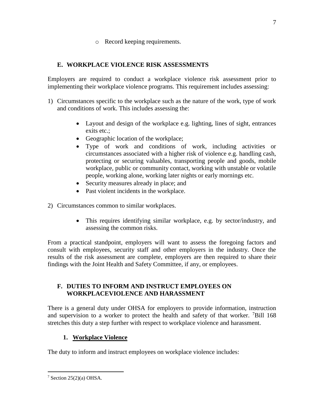o Record keeping requirements.

# **E. WORKPLACE VIOLENCE RISK ASSESSMENTS**

Employers are required to conduct a workplace violence risk assessment prior to implementing their workplace violence programs. This requirement includes assessing:

- 1) Circumstances specific to the workplace such as the nature of the work, type of work and conditions of work. This includes assessing the:
	- Layout and design of the workplace e.g. lighting, lines of sight, entrances exits etc.;
	- Geographic location of the workplace;
	- Type of work and conditions of work, including activities or circumstances associated with a higher risk of violence e.g. handling cash, protecting or securing valuables, transporting people and goods, mobile workplace, public or community contact, working with unstable or volatile people, working alone, working later nights or early mornings etc.
	- Security measures already in place; and
	- Past violent incidents in the workplace.

2) Circumstances common to similar workplaces.

 This requires identifying similar workplace, e.g. by sector/industry, and assessing the common risks.

From a practical standpoint, employers will want to assess the foregoing factors and consult with employees, security staff and other employers in the industry. Once the results of the risk assessment are complete, employers are then required to share their findings with the Joint Health and Safety Committee, if any, or employees.

# **F. DUTIES TO INFORM AND INSTRUCT EMPLOYEES ON WORKPLACEVIOLENCE AND HARASSMENT**

There is a general duty under OHSA for employers to provide information, instruction and supervision to a worker to protect the health and safety of that worker.  $7$ Bill 168 stretches this duty a step further with respect to workplace violence and harassment.

# **1. Workplace Violence**

The duty to inform and instruct employees on workplace violence includes:

 $\overline{a}$  $7$  Section 25(2)(a) OHSA.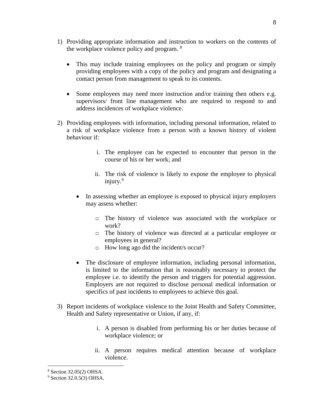- 1) Providing appropriate information and instruction to workers on the contents of the workplace violence policy and program. <sup>8</sup>
	- This may include training employees on the policy and program or simply providing employees with a copy of the policy and program and designating a contact person from management to speak to its contents.
	- Some employees may need more instruction and/or training then others e.g. supervisors/ front line management who are required to respond to and address incidences of workplace violence.
- 2) Providing employees with information, including personal information, related to a risk of workplace violence from a person with a known history of violent behaviour if:
	- i. The employee can be expected to encounter that person in the course of his or her work; and
	- ii. The risk of violence is likely to expose the employee to physical injury.<sup>9</sup>
	- In assessing whether an employee is exposed to physical injury employers may assess whether:
		- o The history of violence was associated with the workplace or work?
		- o The history of violence was directed at a particular employee or employees in general?
		- o How long ago did the incident/s occur?
	- The disclosure of employee information, including personal information, is limited to the information that is reasonably necessary to protect the employee i.e. to identify the person and triggers for potential aggression. Employers are not required to disclose personal medical information or specifics of past incidents to employees to achieve this goal.
- 3) Report incidents of workplace violence to the Joint Health and Safety Committee, Health and Safety representative or Union, if any, if:
	- i. A person is disabled from performing his or her duties because of workplace violence; or
	- ii. A person requires medical attention because of workplace violence.

<sup>8</sup> Section 32.05(2) OHSA.

 $9$  Section 32.0.5(3) OHSA.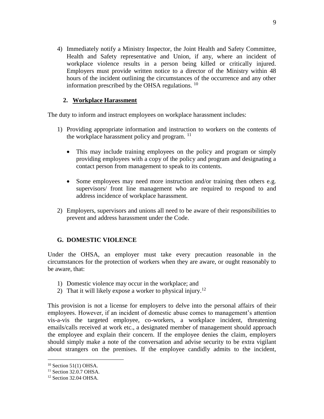4) Immediately notify a Ministry Inspector, the Joint Health and Safety Committee, Health and Safety representative and Union, if any, where an incident of workplace violence results in a person being killed or critically injured. Employers must provide written notice to a director of the Ministry within 48 hours of the incident outlining the circumstances of the occurrence and any other information prescribed by the OHSA regulations.  $^{10}$ 

#### **2. Workplace Harassment**

The duty to inform and instruct employees on workplace harassment includes:

- 1) Providing appropriate information and instruction to workers on the contents of the workplace harassment policy and program.  $^{11}$ 
	- This may include training employees on the policy and program or simply providing employees with a copy of the policy and program and designating a contact person from management to speak to its contents.
	- Some employees may need more instruction and/or training then others e.g. supervisors/ front line management who are required to respond to and address incidence of workplace harassment.
- 2) Employers, supervisors and unions all need to be aware of their responsibilities to prevent and address harassment under the Code.

#### **G. DOMESTIC VIOLENCE**

Under the OHSA, an employer must take every precaution reasonable in the circumstances for the protection of workers when they are aware, or ought reasonably to be aware, that:

- 1) Domestic violence may occur in the workplace; and
- 2) That it will likely expose a worker to physical injury.<sup>12</sup>

This provision is not a license for employers to delve into the personal affairs of their employees. However, if an incident of domestic abuse comes to management's attention vis-a-vis the targeted employee, co-workers, a workplace incident, threatening emails/calls received at work etc., a designated member of management should approach the employee and explain their concern. If the employee denies the claim, employers should simply make a note of the conversation and advise security to be extra vigilant about strangers on the premises. If the employee candidly admits to the incident,

<sup>10</sup> Section 51(1) OHSA.

<sup>&</sup>lt;sup>11</sup> Section 32.0.7 OHSA.

<sup>&</sup>lt;sup>12</sup> Section 32.04 OHSA.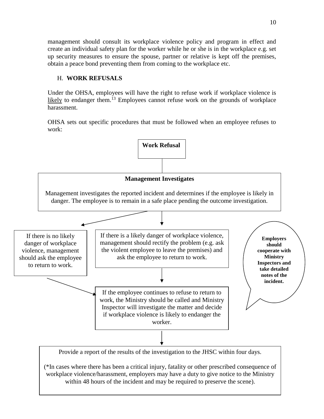management should consult its workplace violence policy and program in effect and create an individual safety plan for the worker while he or she is in the workplace e.g. set up security measures to ensure the spouse, partner or relative is kept off the premises, obtain a peace bond preventing them from coming to the workplace etc.

### H. **WORK REFUSALS**

Under the OHSA, employees will have the right to refuse work if workplace violence is likely to endanger them.<sup>13</sup> Employees cannot refuse work on the grounds of workplace harassment.

OHSA sets out specific procedures that must be followed when an employee refuses to work:

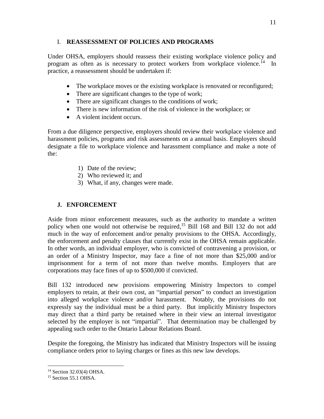#### I. **REASSESSMENT OF POLICIES AND PROGRAMS**

Under OHSA, employers should reassess their existing workplace violence policy and program as often as is necessary to protect workers from workplace violence.<sup>14</sup> In practice, a reassessment should be undertaken if:

- The workplace moves or the existing workplace is renovated or reconfigured;
- There are significant changes to the type of work;
- There are significant changes to the conditions of work;
- There is new information of the risk of violence in the workplace; or
- A violent incident occurs.

From a due diligence perspective, employers should review their workplace violence and harassment policies, programs and risk assessments on a annual basis. Employers should designate a file to workplace violence and harassment compliance and make a note of the:

- 1) Date of the review;
- 2) Who reviewed it; and
- 3) What, if any, changes were made.

# **J. ENFORCEMENT**

Aside from minor enforcement measures, such as the authority to mandate a written policy when one would not otherwise be required,<sup>15</sup> Bill 168 and Bill 132 do not add much in the way of enforcement and/or penalty provisions to the OHSA. Accordingly, the enforcement and penalty clauses that currently exist in the OHSA remain applicable. In other words, an individual employer, who is convicted of contravening a provision, or an order of a Ministry Inspector, may face a fine of not more than \$25,000 and/or imprisonment for a term of not more than twelve months. Employers that are corporations may face fines of up to \$500,000 if convicted.

Bill 132 introduced new provisions empowering Ministry Inspectors to compel employers to retain, at their own cost, an "impartial person" to conduct an investigation into alleged workplace violence and/or harassment. Notably, the provisions do not expressly say the individual must be a third party. But implicitly Ministry Inspectors may direct that a third party be retained where in their view an internal investigator selected by the employer is not "impartial". That determination may be challenged by appealing such order to the Ontario Labour Relations Board.

Despite the foregoing, the Ministry has indicated that Ministry Inspectors will be issuing compliance orders prior to laying charges or fines as this new law develops.

<sup>14</sup> Section 32.03(4) OHSA.

<sup>&</sup>lt;sup>15</sup> Section 55.1 OHSA.